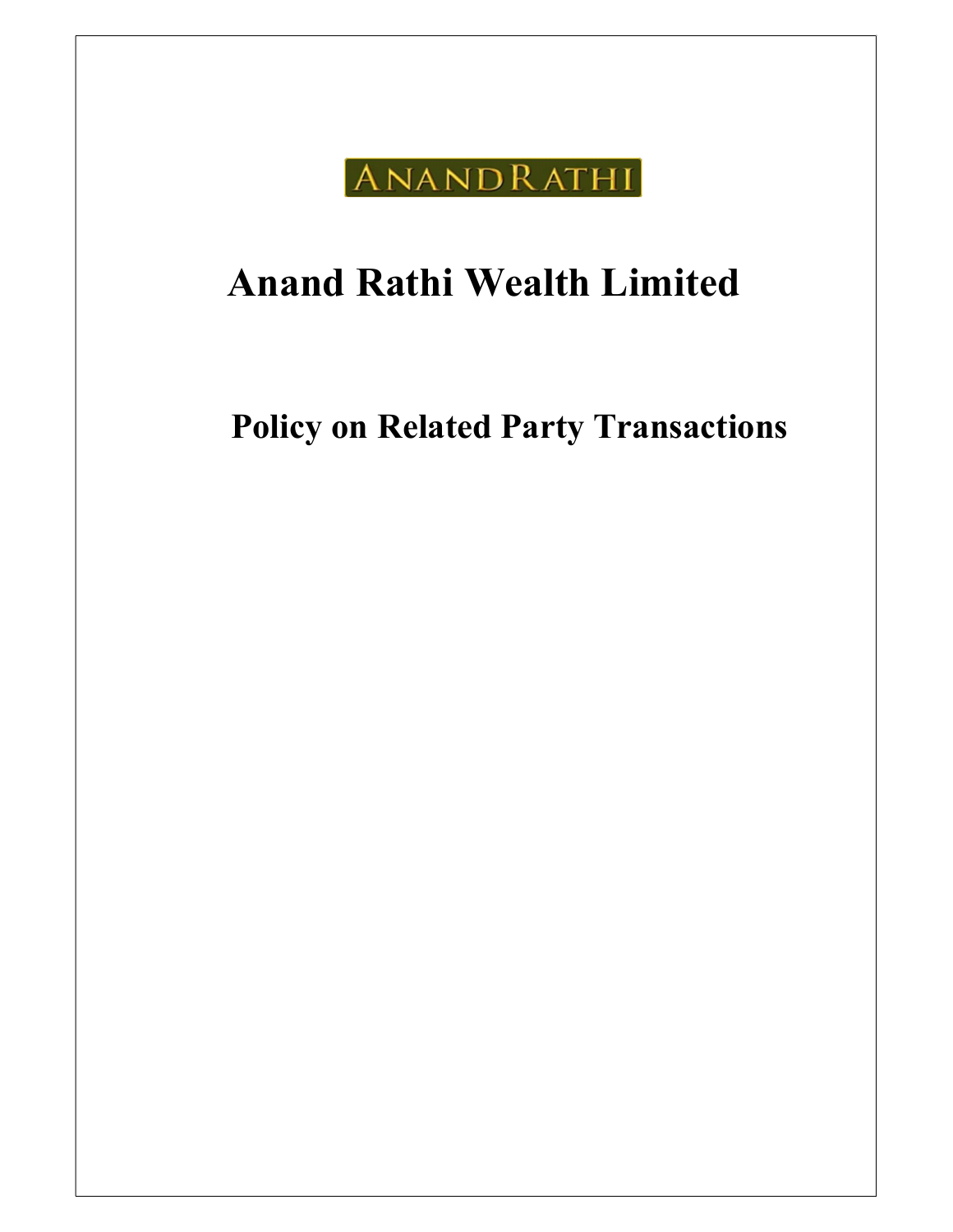

# Anand Rathi Wealth Limited

Policy on Related Party Transactions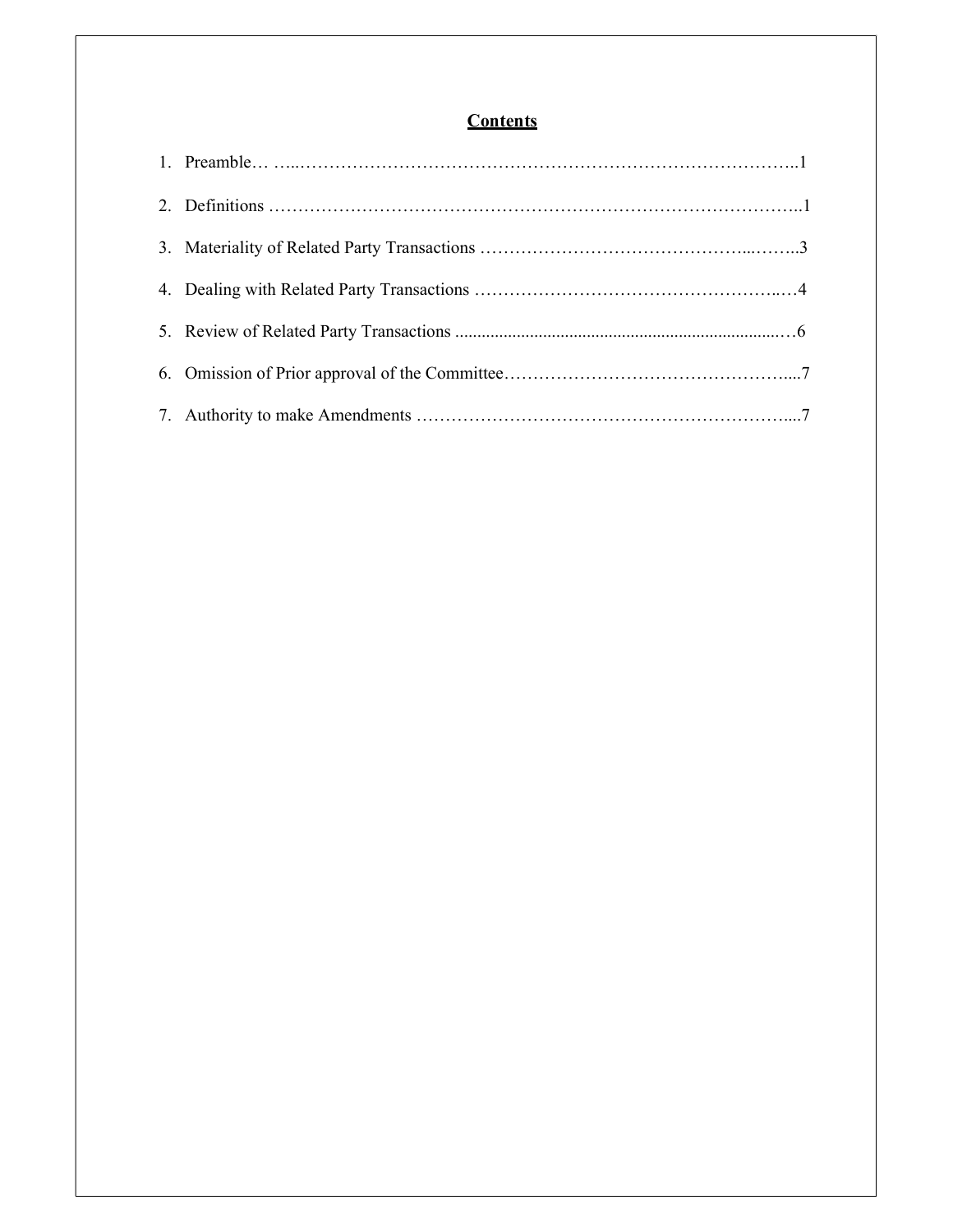## **Contents**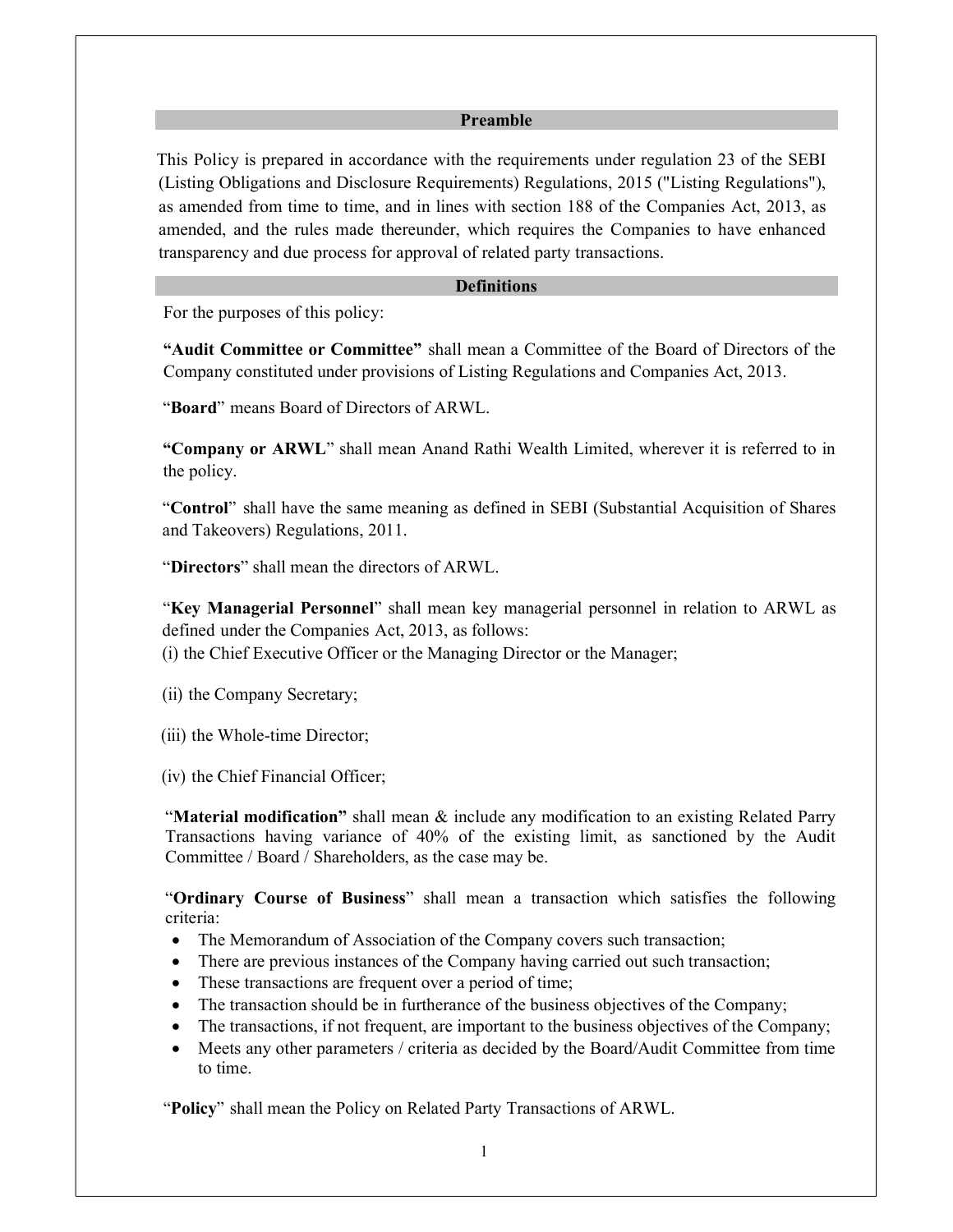#### Preamble

 This Policy is prepared in accordance with the requirements under regulation 23 of the SEBI (Listing Obligations and Disclosure Requirements) Regulations, 2015 ("Listing Regulations"), as amended from time to time, and in lines with section 188 of the Companies Act, 2013, as amended, and the rules made thereunder, which requires the Companies to have enhanced transparency and due process for approval of related party transactions.

#### **Definitions**

For the purposes of this policy:

"Audit Committee or Committee" shall mean a Committee of the Board of Directors of the Company constituted under provisions of Listing Regulations and Companies Act, 2013.

"Board" means Board of Directors of ARWL.

"Company or ARWL" shall mean Anand Rathi Wealth Limited, wherever it is referred to in the policy.

"Control" shall have the same meaning as defined in SEBI (Substantial Acquisition of Shares and Takeovers) Regulations, 2011.

"Directors" shall mean the directors of ARWL.

"Key Managerial Personnel" shall mean key managerial personnel in relation to ARWL as defined under the Companies Act, 2013, as follows:

(i) the Chief Executive Officer or the Managing Director or the Manager;

(ii) the Company Secretary;

(iii) the Whole-time Director;

(iv) the Chief Financial Officer;

"Material modification" shall mean  $\&$  include any modification to an existing Related Parry Transactions having variance of 40% of the existing limit, as sanctioned by the Audit Committee / Board / Shareholders, as the case may be.

"Ordinary Course of Business" shall mean a transaction which satisfies the following criteria:

- The Memorandum of Association of the Company covers such transaction;
- There are previous instances of the Company having carried out such transaction;
- These transactions are frequent over a period of time;
- The transaction should be in furtherance of the business objectives of the Company;
- The transactions, if not frequent, are important to the business objectives of the Company;
- Meets any other parameters / criteria as decided by the Board/Audit Committee from time to time.

"Policy" shall mean the Policy on Related Party Transactions of ARWL.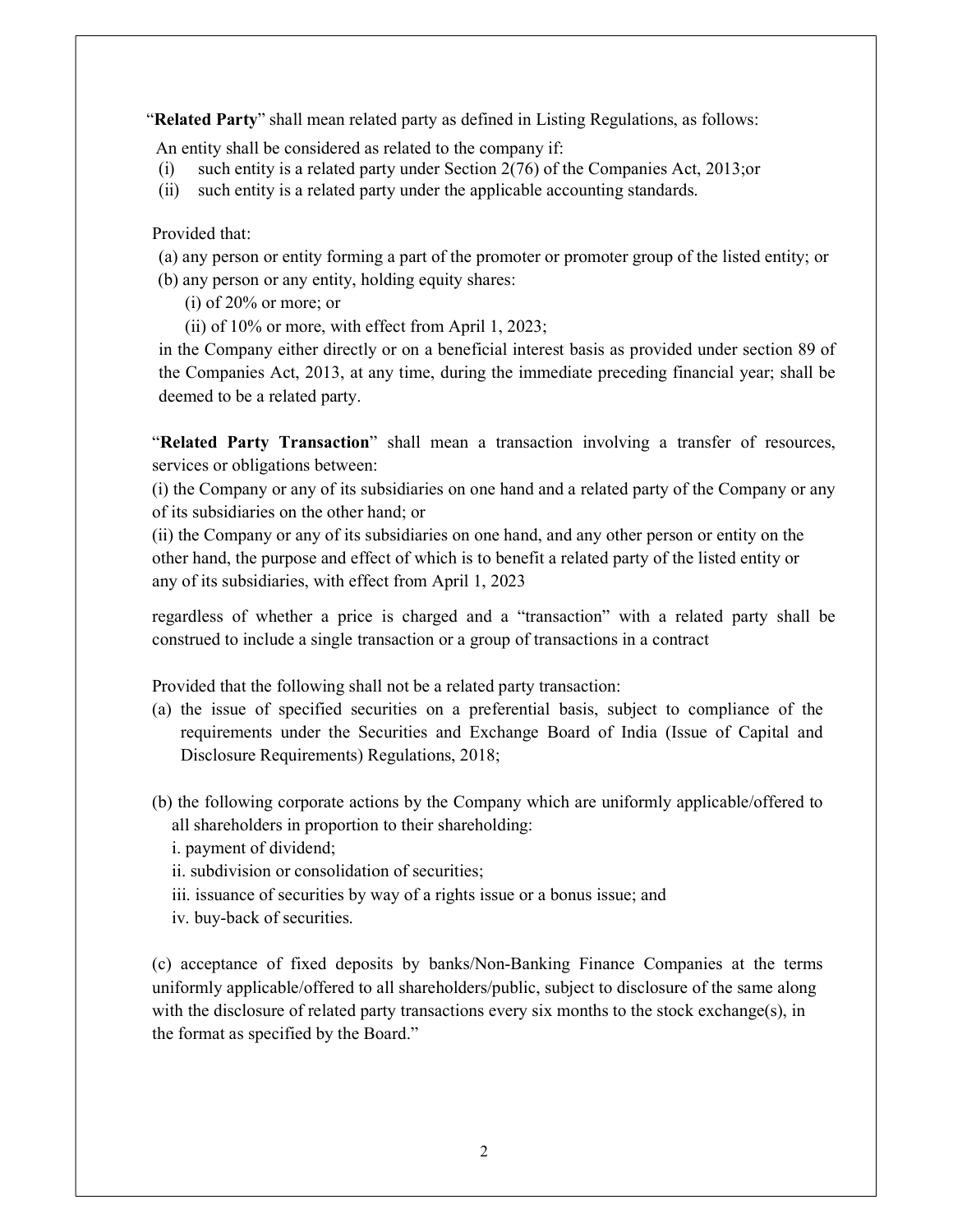"Related Party" shall mean related party as defined in Listing Regulations, as follows:

An entity shall be considered as related to the company if:

- (i) such entity is a related party under Section 2(76) of the Companies Act, 2013;or
- (ii) such entity is a related party under the applicable accounting standards.

#### Provided that:

- (a) any person or entity forming a part of the promoter or promoter group of the listed entity; or (b) any person or any entity, holding equity shares:
	- (i) of 20% or more; or
	- (ii) of 10% or more, with effect from April 1, 2023;

in the Company either directly or on a beneficial interest basis as provided under section 89 of the Companies Act, 2013, at any time, during the immediate preceding financial year; shall be deemed to be a related party.

"Related Party Transaction" shall mean a transaction involving a transfer of resources, services or obligations between:

(i) the Company or any of its subsidiaries on one hand and a related party of the Company or any of its subsidiaries on the other hand; or

(ii) the Company or any of its subsidiaries on one hand, and any other person or entity on the other hand, the purpose and effect of which is to benefit a related party of the listed entity or any of its subsidiaries, with effect from April 1, 2023

regardless of whether a price is charged and a "transaction" with a related party shall be construed to include a single transaction or a group of transactions in a contract

Provided that the following shall not be a related party transaction:

- (a) the issue of specified securities on a preferential basis, subject to compliance of the requirements under the Securities and Exchange Board of India (Issue of Capital and Disclosure Requirements) Regulations, 2018;
- (b) the following corporate actions by the Company which are uniformly applicable/offered to all shareholders in proportion to their shareholding:
	- i. payment of dividend;
	- ii. subdivision or consolidation of securities;
	- iii. issuance of securities by way of a rights issue or a bonus issue; and
	- iv. buy-back of securities.

(c) acceptance of fixed deposits by banks/Non-Banking Finance Companies at the terms uniformly applicable/offered to all shareholders/public, subject to disclosure of the same along with the disclosure of related party transactions every six months to the stock exchange(s), in the format as specified by the Board."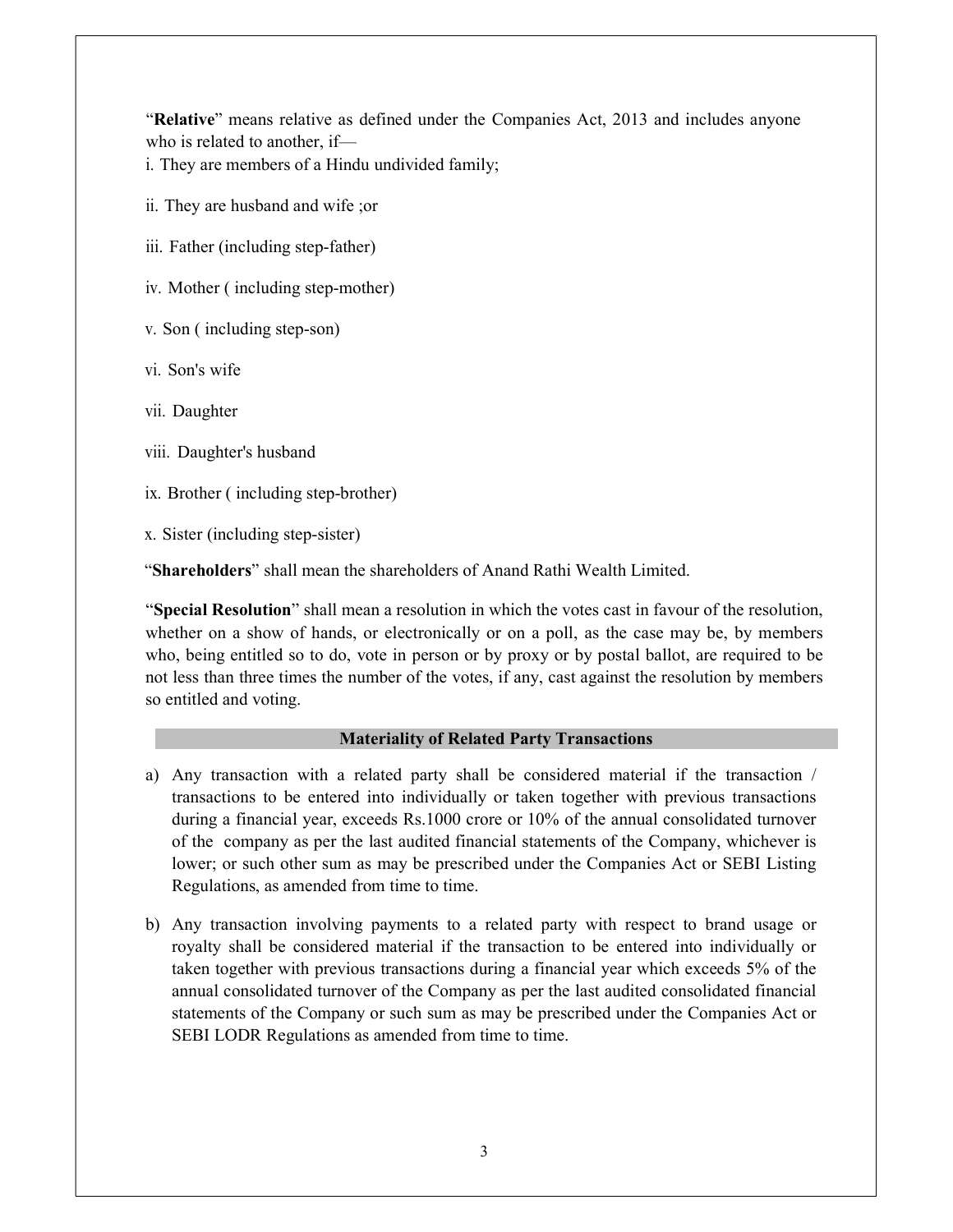"Relative" means relative as defined under the Companies Act, 2013 and includes anyone who is related to another, if—

i. They are members of a Hindu undivided family;

- ii. They are husband and wife ;or
- iii. Father (including step-father)
- iv. Mother ( including step-mother)
- v. Son ( including step-son)
- vi. Son's wife
- vii. Daughter
- viii. Daughter's husband
- ix. Brother ( including step-brother)
- x. Sister (including step-sister)

"Shareholders" shall mean the shareholders of Anand Rathi Wealth Limited.

"Special Resolution" shall mean a resolution in which the votes cast in favour of the resolution, whether on a show of hands, or electronically or on a poll, as the case may be, by members who, being entitled so to do, vote in person or by proxy or by postal ballot, are required to be not less than three times the number of the votes, if any, cast against the resolution by members so entitled and voting.

#### Materiality of Related Party Transactions

- a) Any transaction with a related party shall be considered material if the transaction / transactions to be entered into individually or taken together with previous transactions during a financial year, exceeds Rs.1000 crore or 10% of the annual consolidated turnover of the company as per the last audited financial statements of the Company, whichever is lower; or such other sum as may be prescribed under the Companies Act or SEBI Listing Regulations, as amended from time to time.
- b) Any transaction involving payments to a related party with respect to brand usage or royalty shall be considered material if the transaction to be entered into individually or taken together with previous transactions during a financial year which exceeds 5% of the annual consolidated turnover of the Company as per the last audited consolidated financial statements of the Company or such sum as may be prescribed under the Companies Act or SEBI LODR Regulations as amended from time to time.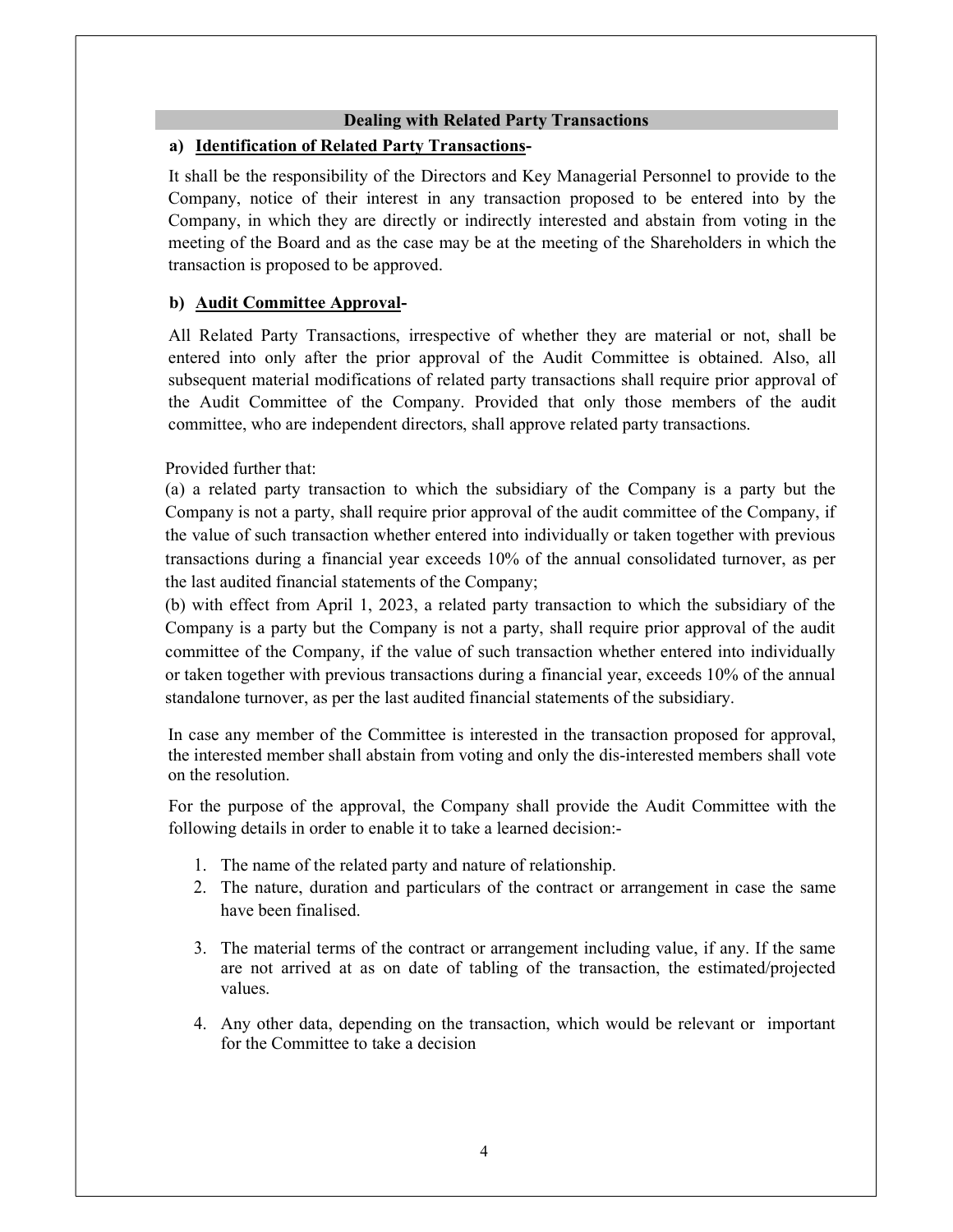#### Dealing with Related Party Transactions

### a) Identification of Related Party Transactions-

It shall be the responsibility of the Directors and Key Managerial Personnel to provide to the Company, notice of their interest in any transaction proposed to be entered into by the Company, in which they are directly or indirectly interested and abstain from voting in the meeting of the Board and as the case may be at the meeting of the Shareholders in which the transaction is proposed to be approved.

#### b) Audit Committee Approval-

All Related Party Transactions, irrespective of whether they are material or not, shall be entered into only after the prior approval of the Audit Committee is obtained. Also, all subsequent material modifications of related party transactions shall require prior approval of the Audit Committee of the Company. Provided that only those members of the audit committee, who are independent directors, shall approve related party transactions.

#### Provided further that:

(a) a related party transaction to which the subsidiary of the Company is a party but the Company is not a party, shall require prior approval of the audit committee of the Company, if the value of such transaction whether entered into individually or taken together with previous transactions during a financial year exceeds 10% of the annual consolidated turnover, as per the last audited financial statements of the Company;

(b) with effect from April 1, 2023, a related party transaction to which the subsidiary of the Company is a party but the Company is not a party, shall require prior approval of the audit committee of the Company, if the value of such transaction whether entered into individually or taken together with previous transactions during a financial year, exceeds 10% of the annual standalone turnover, as per the last audited financial statements of the subsidiary.

In case any member of the Committee is interested in the transaction proposed for approval, the interested member shall abstain from voting and only the dis-interested members shall vote on the resolution.

For the purpose of the approval, the Company shall provide the Audit Committee with the following details in order to enable it to take a learned decision:-

- 1. The name of the related party and nature of relationship.
- 2. The nature, duration and particulars of the contract or arrangement in case the same have been finalised.
- 3. The material terms of the contract or arrangement including value, if any. If the same are not arrived at as on date of tabling of the transaction, the estimated/projected values.
- 4. Any other data, depending on the transaction, which would be relevant or important for the Committee to take a decision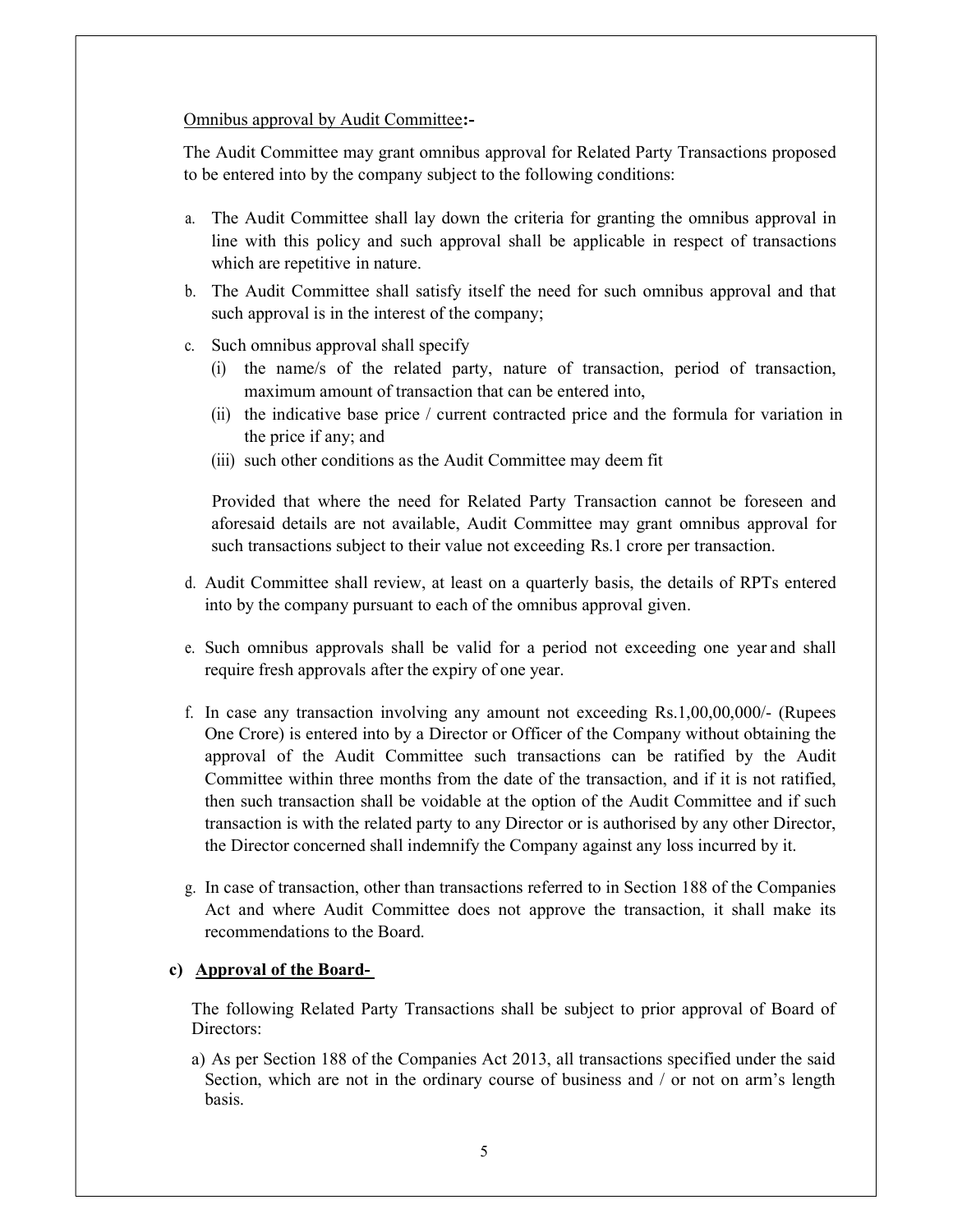Omnibus approval by Audit Committee:-

The Audit Committee may grant omnibus approval for Related Party Transactions proposed to be entered into by the company subject to the following conditions:

- a. The Audit Committee shall lay down the criteria for granting the omnibus approval in line with this policy and such approval shall be applicable in respect of transactions which are repetitive in nature.
- b. The Audit Committee shall satisfy itself the need for such omnibus approval and that such approval is in the interest of the company;
- c. Such omnibus approval shall specify
	- (i) the name/s of the related party, nature of transaction, period of transaction, maximum amount of transaction that can be entered into,
	- (ii) the indicative base price / current contracted price and the formula for variation in the price if any; and
	- (iii) such other conditions as the Audit Committee may deem fit

Provided that where the need for Related Party Transaction cannot be foreseen and aforesaid details are not available, Audit Committee may grant omnibus approval for such transactions subject to their value not exceeding Rs.1 crore per transaction.

- d. Audit Committee shall review, at least on a quarterly basis, the details of RPTs entered into by the company pursuant to each of the omnibus approval given.
- e. Such omnibus approvals shall be valid for a period not exceeding one year and shall require fresh approvals after the expiry of one year.
- f. In case any transaction involving any amount not exceeding Rs.1,00,00,000/- (Rupees One Crore) is entered into by a Director or Officer of the Company without obtaining the approval of the Audit Committee such transactions can be ratified by the Audit Committee within three months from the date of the transaction, and if it is not ratified, then such transaction shall be voidable at the option of the Audit Committee and if such transaction is with the related party to any Director or is authorised by any other Director, the Director concerned shall indemnify the Company against any loss incurred by it.
- g. In case of transaction, other than transactions referred to in Section 188 of the Companies Act and where Audit Committee does not approve the transaction, it shall make its recommendations to the Board.

#### c) Approval of the Board-

The following Related Party Transactions shall be subject to prior approval of Board of Directors:

a) As per Section 188 of the Companies Act 2013, all transactions specified under the said Section, which are not in the ordinary course of business and / or not on arm's length basis.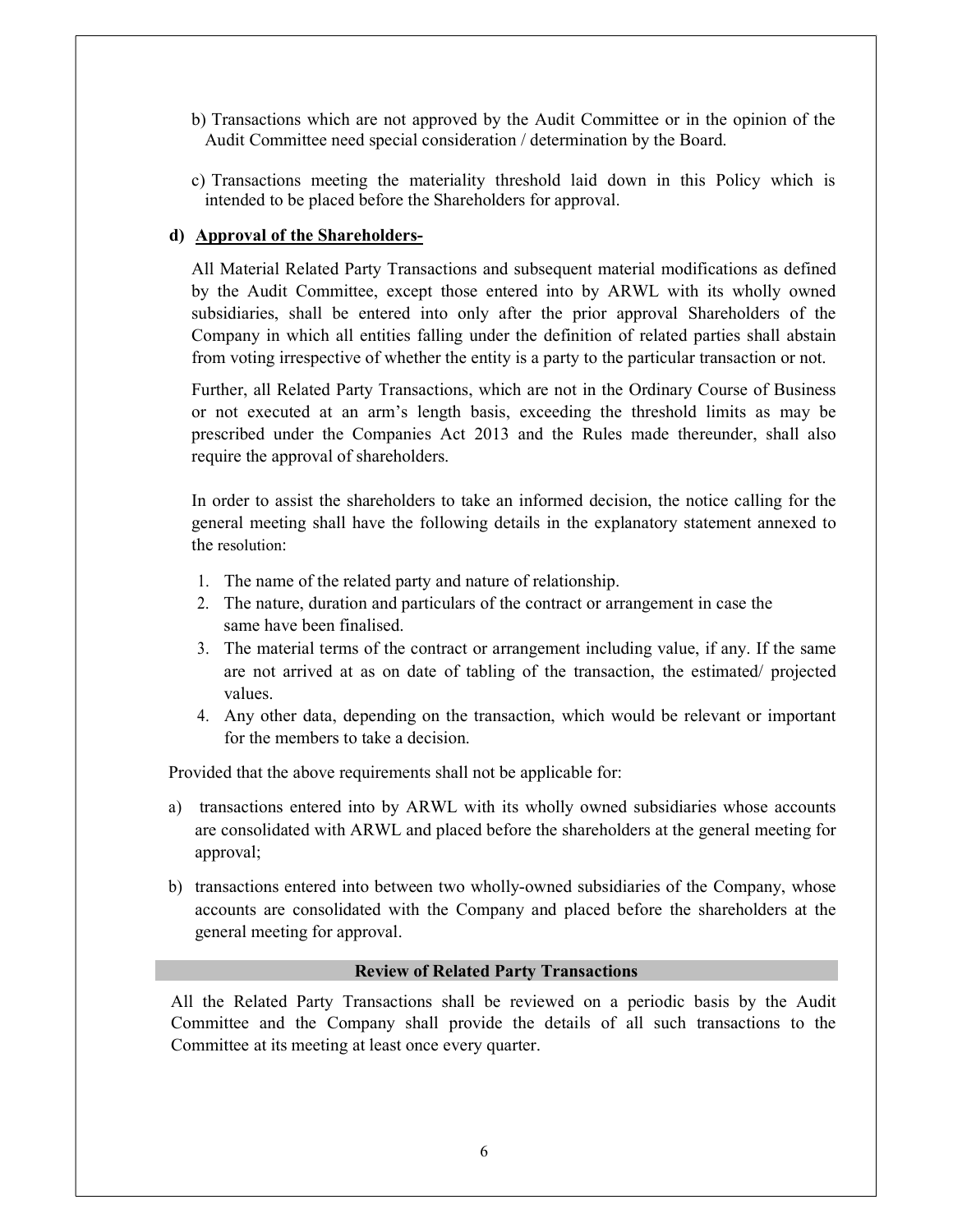- b) Transactions which are not approved by the Audit Committee or in the opinion of the Audit Committee need special consideration / determination by the Board.
- c) Transactions meeting the materiality threshold laid down in this Policy which is intended to be placed before the Shareholders for approval.

#### d) Approval of the Shareholders-

All Material Related Party Transactions and subsequent material modifications as defined by the Audit Committee, except those entered into by ARWL with its wholly owned subsidiaries, shall be entered into only after the prior approval Shareholders of the Company in which all entities falling under the definition of related parties shall abstain from voting irrespective of whether the entity is a party to the particular transaction or not.

Further, all Related Party Transactions, which are not in the Ordinary Course of Business or not executed at an arm's length basis, exceeding the threshold limits as may be prescribed under the Companies Act 2013 and the Rules made thereunder, shall also require the approval of shareholders.

In order to assist the shareholders to take an informed decision, the notice calling for the general meeting shall have the following details in the explanatory statement annexed to the resolution:

- 1. The name of the related party and nature of relationship.
- 2. The nature, duration and particulars of the contract or arrangement in case the same have been finalised.
- 3. The material terms of the contract or arrangement including value, if any. If the same are not arrived at as on date of tabling of the transaction, the estimated/ projected values.
- 4. Any other data, depending on the transaction, which would be relevant or important for the members to take a decision.

Provided that the above requirements shall not be applicable for:

- a) transactions entered into by ARWL with its wholly owned subsidiaries whose accounts are consolidated with ARWL and placed before the shareholders at the general meeting for approval;
- b) transactions entered into between two wholly-owned subsidiaries of the Company, whose accounts are consolidated with the Company and placed before the shareholders at the general meeting for approval.

#### Review of Related Party Transactions

All the Related Party Transactions shall be reviewed on a periodic basis by the Audit Committee and the Company shall provide the details of all such transactions to the Committee at its meeting at least once every quarter.